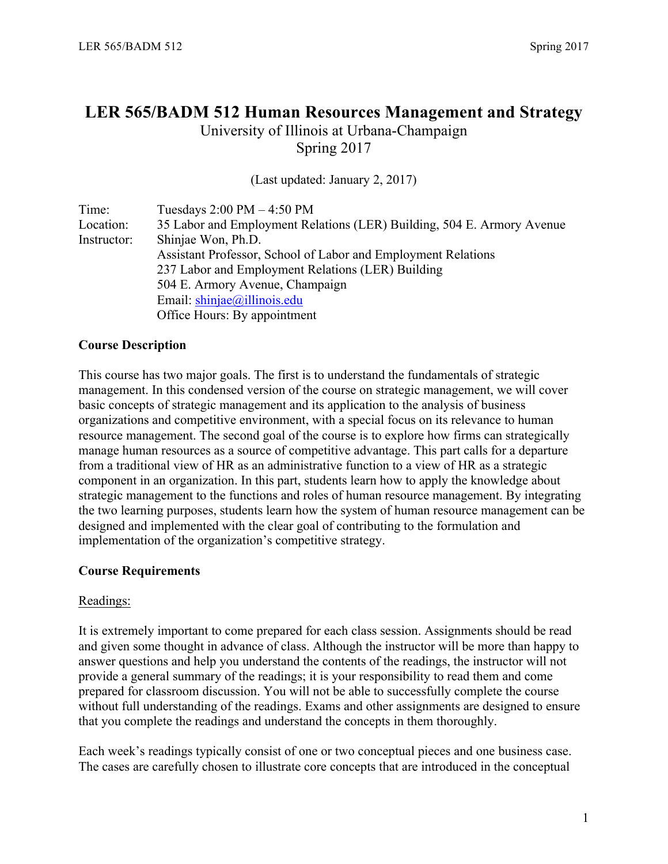### **LER 565/BADM 512 Human Resources Management and Strategy**

University of Illinois at Urbana-Champaign Spring 2017

(Last updated: January 2, 2017)

| Time:       | Tuesdays $2:00 \text{ PM} - 4:50 \text{ PM}$                           |  |  |  |  |
|-------------|------------------------------------------------------------------------|--|--|--|--|
| Location:   | 35 Labor and Employment Relations (LER) Building, 504 E. Armory Avenue |  |  |  |  |
| Instructor: | Shinjae Won, Ph.D.                                                     |  |  |  |  |
|             | Assistant Professor, School of Labor and Employment Relations          |  |  |  |  |
|             | 237 Labor and Employment Relations (LER) Building                      |  |  |  |  |
|             | 504 E. Armory Avenue, Champaign                                        |  |  |  |  |
|             | Email: $\sin \left( \frac{\partial}{\partial x} \right)$ illinois.edu  |  |  |  |  |
|             | Office Hours: By appointment                                           |  |  |  |  |

#### **Course Description**

This course has two major goals. The first is to understand the fundamentals of strategic management. In this condensed version of the course on strategic management, we will cover basic concepts of strategic management and its application to the analysis of business organizations and competitive environment, with a special focus on its relevance to human resource management. The second goal of the course is to explore how firms can strategically manage human resources as a source of competitive advantage. This part calls for a departure from a traditional view of HR as an administrative function to a view of HR as a strategic component in an organization. In this part, students learn how to apply the knowledge about strategic management to the functions and roles of human resource management. By integrating the two learning purposes, students learn how the system of human resource management can be designed and implemented with the clear goal of contributing to the formulation and implementation of the organization's competitive strategy.

#### **Course Requirements**

#### Readings:

It is extremely important to come prepared for each class session. Assignments should be read and given some thought in advance of class. Although the instructor will be more than happy to answer questions and help you understand the contents of the readings, the instructor will not provide a general summary of the readings; it is your responsibility to read them and come prepared for classroom discussion. You will not be able to successfully complete the course without full understanding of the readings. Exams and other assignments are designed to ensure that you complete the readings and understand the concepts in them thoroughly.

Each week's readings typically consist of one or two conceptual pieces and one business case. The cases are carefully chosen to illustrate core concepts that are introduced in the conceptual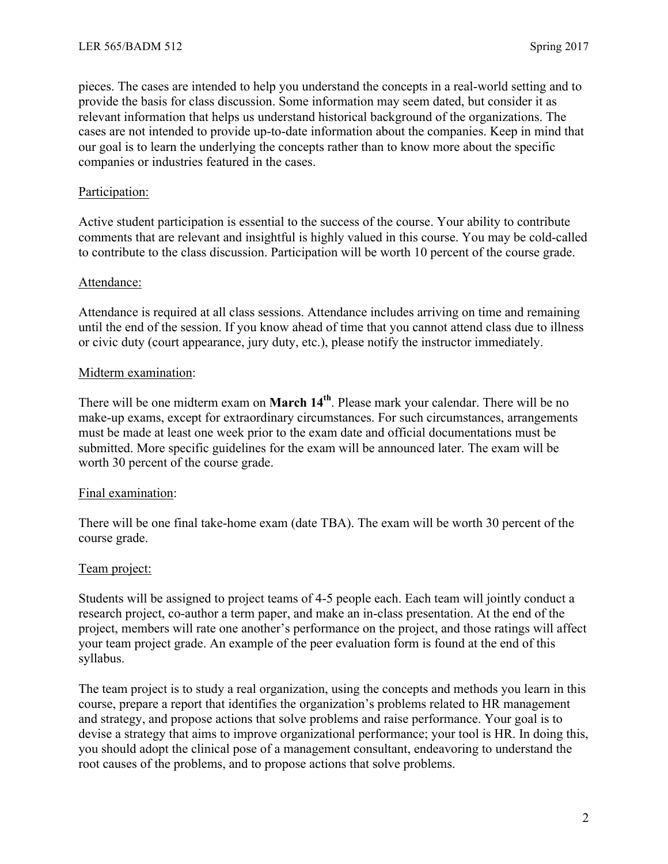pieces. The cases are intended to help you understand the concepts in a real-world setting and to provide the basis for class discussion. Some information may seem dated, but consider it as relevant information that helps us understand historical background of the organizations. The cases are not intended to provide up-to-date information about the companies. Keep in mind that our goal is to learn the underlying the concepts rather than to know more about the specific companies or industries featured in the cases.

#### Participation:

Active student participation is essential to the success of the course. Your ability to contribute comments that are relevant and insightful is highly valued in this course. You may be cold-called to contribute to the class discussion. Participation will be worth 10 percent of the course grade.

#### Attendance:

Attendance is required at all class sessions. Attendance includes arriving on time and remaining until the end of the session. If you know ahead of time that you cannot attend class due to illness or civic duty (court appearance, jury duty, etc.), please notify the instructor immediately.

#### Midterm examination:

There will be one midterm exam on **March 14th**. Please mark your calendar. There will be no make-up exams, except for extraordinary circumstances. For such circumstances, arrangements must be made at least one week prior to the exam date and official documentations must be submitted. More specific guidelines for the exam will be announced later. The exam will be worth 30 percent of the course grade.

#### Final examination:

There will be one final take-home exam (date TBA). The exam will be worth 30 percent of the course grade.

#### Team project:

Students will be assigned to project teams of 4-5 people each. Each team will jointly conduct a research project, co-author a term paper, and make an in-class presentation. At the end of the project, members will rate one another's performance on the project, and those ratings will affect your team project grade. An example of the peer evaluation form is found at the end of this syllabus.

The team project is to study a real organization, using the concepts and methods you learn in this course, prepare a report that identifies the organization's problems related to HR management and strategy, and propose actions that solve problems and raise performance. Your goal is to devise a strategy that aims to improve organizational performance; your tool is HR. In doing this, you should adopt the clinical pose of a management consultant, endeavoring to understand the root causes of the problems, and to propose actions that solve problems.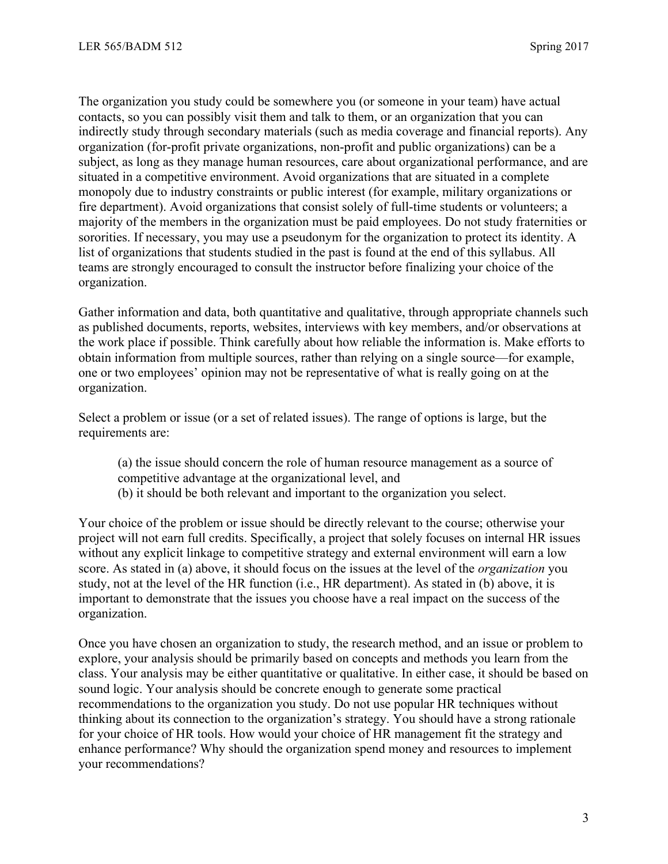The organization you study could be somewhere you (or someone in your team) have actual contacts, so you can possibly visit them and talk to them, or an organization that you can indirectly study through secondary materials (such as media coverage and financial reports). Any organization (for-profit private organizations, non-profit and public organizations) can be a subject, as long as they manage human resources, care about organizational performance, and are situated in a competitive environment. Avoid organizations that are situated in a complete monopoly due to industry constraints or public interest (for example, military organizations or fire department). Avoid organizations that consist solely of full-time students or volunteers; a majority of the members in the organization must be paid employees. Do not study fraternities or sororities. If necessary, you may use a pseudonym for the organization to protect its identity. A list of organizations that students studied in the past is found at the end of this syllabus. All teams are strongly encouraged to consult the instructor before finalizing your choice of the organization.

Gather information and data, both quantitative and qualitative, through appropriate channels such as published documents, reports, websites, interviews with key members, and/or observations at the work place if possible. Think carefully about how reliable the information is. Make efforts to obtain information from multiple sources, rather than relying on a single source—for example, one or two employees' opinion may not be representative of what is really going on at the organization.

Select a problem or issue (or a set of related issues). The range of options is large, but the requirements are:

(a) the issue should concern the role of human resource management as a source of competitive advantage at the organizational level, and (b) it should be both relevant and important to the organization you select.

Your choice of the problem or issue should be directly relevant to the course; otherwise your project will not earn full credits. Specifically, a project that solely focuses on internal HR issues without any explicit linkage to competitive strategy and external environment will earn a low score. As stated in (a) above, it should focus on the issues at the level of the *organization* you study, not at the level of the HR function (i.e., HR department). As stated in (b) above, it is important to demonstrate that the issues you choose have a real impact on the success of the organization.

Once you have chosen an organization to study, the research method, and an issue or problem to explore, your analysis should be primarily based on concepts and methods you learn from the class. Your analysis may be either quantitative or qualitative. In either case, it should be based on sound logic. Your analysis should be concrete enough to generate some practical recommendations to the organization you study. Do not use popular HR techniques without thinking about its connection to the organization's strategy. You should have a strong rationale for your choice of HR tools. How would your choice of HR management fit the strategy and enhance performance? Why should the organization spend money and resources to implement your recommendations?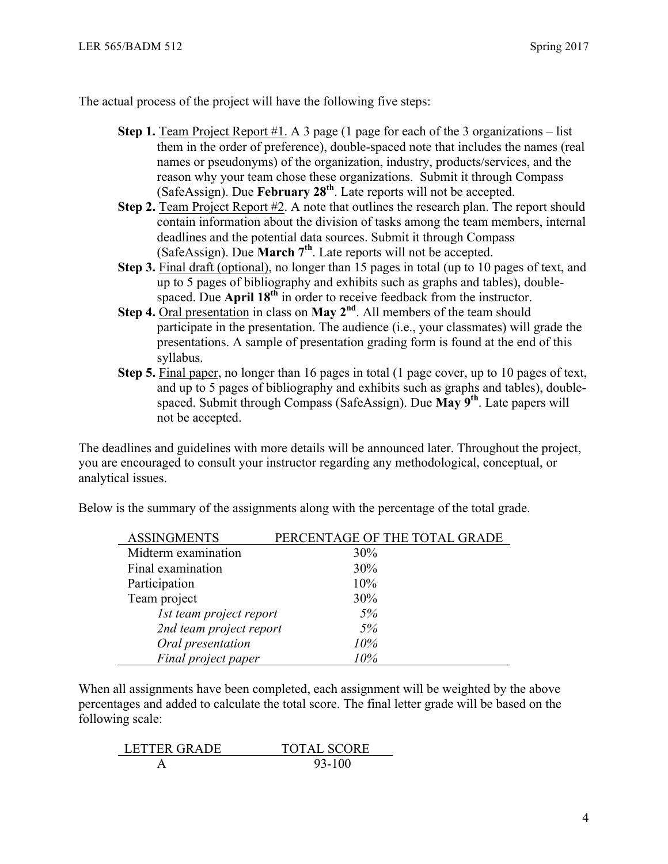The actual process of the project will have the following five steps:

- **Step 1.** Team Project Report #1. A 3 page (1 page for each of the 3 organizations list them in the order of preference), double-spaced note that includes the names (real names or pseudonyms) of the organization, industry, products/services, and the reason why your team chose these organizations. Submit it through Compass (SafeAssign). Due **February 28th**. Late reports will not be accepted.
- **Step 2.** Team Project Report #2. A note that outlines the research plan. The report should contain information about the division of tasks among the team members, internal deadlines and the potential data sources. Submit it through Compass (SafeAssign). Due **March 7th**. Late reports will not be accepted.
- **Step 3.** Final draft (optional), no longer than 15 pages in total (up to 10 pages of text, and up to 5 pages of bibliography and exhibits such as graphs and tables), doublespaced. Due **April 18<sup>th</sup>** in order to receive feedback from the instructor.
- **Step 4.** Oral presentation in class on **May 2nd**. All members of the team should participate in the presentation. The audience (i.e., your classmates) will grade the presentations. A sample of presentation grading form is found at the end of this syllabus.
- **Step 5.** Final paper, no longer than 16 pages in total (1 page cover, up to 10 pages of text, and up to 5 pages of bibliography and exhibits such as graphs and tables), doublespaced. Submit through Compass (SafeAssign). Due **May 9th**. Late papers will not be accepted.

The deadlines and guidelines with more details will be announced later. Throughout the project, you are encouraged to consult your instructor regarding any methodological, conceptual, or analytical issues.

| <b>ASSINGMENTS</b>      | PERCENTAGE OF THE TOTAL GRADE |
|-------------------------|-------------------------------|
| Midterm examination     | $30\%$                        |
| Final examination       | 30%                           |
| Participation           | 10%                           |
| Team project            | 30%                           |
| 1st team project report | 5%                            |
| 2nd team project report | 5%                            |
| Oral presentation       | 10%                           |
| Final project paper     | 10%                           |

Below is the summary of the assignments along with the percentage of the total grade.

When all assignments have been completed, each assignment will be weighted by the above percentages and added to calculate the total score. The final letter grade will be based on the following scale:

| <b>LETTER GRADE</b> | <b>TOTAL SCORE</b> |
|---------------------|--------------------|
|                     | 93-100             |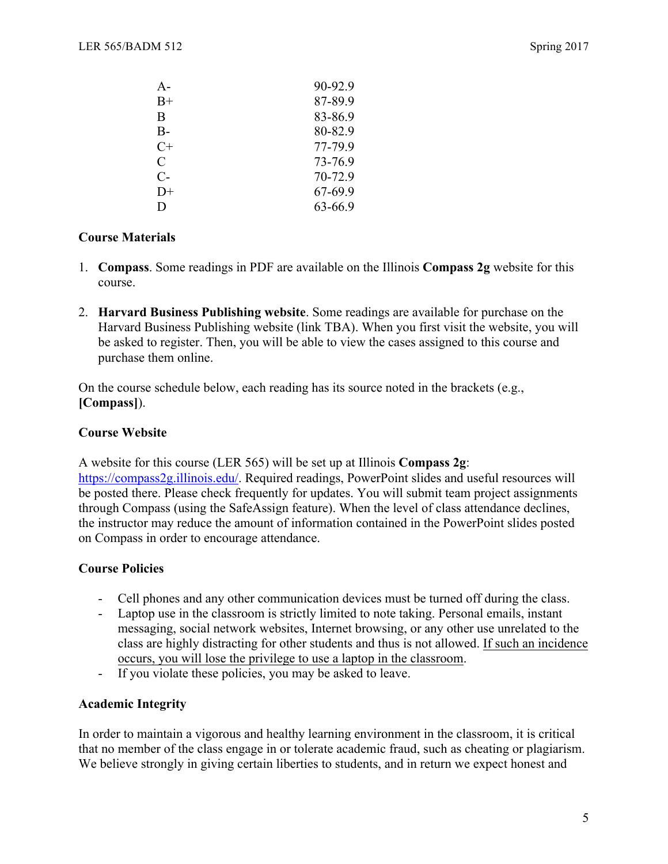| 90-92.9 |
|---------|
| 87-89.9 |
| 83-86.9 |
| 80-82.9 |
| 77-79.9 |
| 73-76.9 |
| 70-72.9 |
| 67-69.9 |
| 63-66.9 |
|         |

#### **Course Materials**

- 1. **Compass**. Some readings in PDF are available on the Illinois **Compass 2g** website for this course.
- 2. **Harvard Business Publishing website**. Some readings are available for purchase on the Harvard Business Publishing website (link TBA). When you first visit the website, you will be asked to register. Then, you will be able to view the cases assigned to this course and purchase them online.

On the course schedule below, each reading has its source noted in the brackets (e.g., **[Compass]**).

#### **Course Website**

A website for this course (LER 565) will be set up at Illinois **Compass 2g**: https://compass2g.illinois.edu/. Required readings, PowerPoint slides and useful resources will be posted there. Please check frequently for updates. You will submit team project assignments through Compass (using the SafeAssign feature). When the level of class attendance declines, the instructor may reduce the amount of information contained in the PowerPoint slides posted on Compass in order to encourage attendance.

#### **Course Policies**

- Cell phones and any other communication devices must be turned off during the class.
- Laptop use in the classroom is strictly limited to note taking. Personal emails, instant messaging, social network websites, Internet browsing, or any other use unrelated to the class are highly distracting for other students and thus is not allowed. If such an incidence occurs, you will lose the privilege to use a laptop in the classroom.
- If you violate these policies, you may be asked to leave.

#### **Academic Integrity**

In order to maintain a vigorous and healthy learning environment in the classroom, it is critical that no member of the class engage in or tolerate academic fraud, such as cheating or plagiarism. We believe strongly in giving certain liberties to students, and in return we expect honest and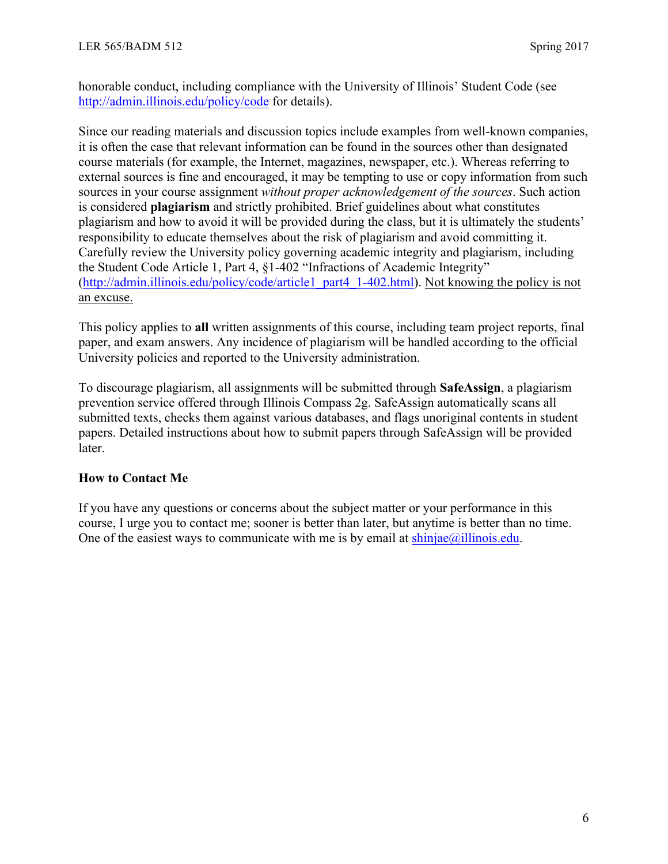honorable conduct, including compliance with the University of Illinois' Student Code (see http://admin.illinois.edu/policy/code for details).

Since our reading materials and discussion topics include examples from well-known companies, it is often the case that relevant information can be found in the sources other than designated course materials (for example, the Internet, magazines, newspaper, etc.). Whereas referring to external sources is fine and encouraged, it may be tempting to use or copy information from such sources in your course assignment *without proper acknowledgement of the sources*. Such action is considered **plagiarism** and strictly prohibited. Brief guidelines about what constitutes plagiarism and how to avoid it will be provided during the class, but it is ultimately the students' responsibility to educate themselves about the risk of plagiarism and avoid committing it. Carefully review the University policy governing academic integrity and plagiarism, including the Student Code Article 1, Part 4, §1-402 "Infractions of Academic Integrity" (http://admin.illinois.edu/policy/code/article1\_part4\_1-402.html). Not knowing the policy is not an excuse.

This policy applies to **all** written assignments of this course, including team project reports, final paper, and exam answers. Any incidence of plagiarism will be handled according to the official University policies and reported to the University administration.

To discourage plagiarism, all assignments will be submitted through **SafeAssign**, a plagiarism prevention service offered through Illinois Compass 2g. SafeAssign automatically scans all submitted texts, checks them against various databases, and flags unoriginal contents in student papers. Detailed instructions about how to submit papers through SafeAssign will be provided later.

#### **How to Contact Me**

If you have any questions or concerns about the subject matter or your performance in this course, I urge you to contact me; sooner is better than later, but anytime is better than no time. One of the easiest ways to communicate with me is by email at  $\frac{\text{shinjae}}{\text{allinois.edu}}$ .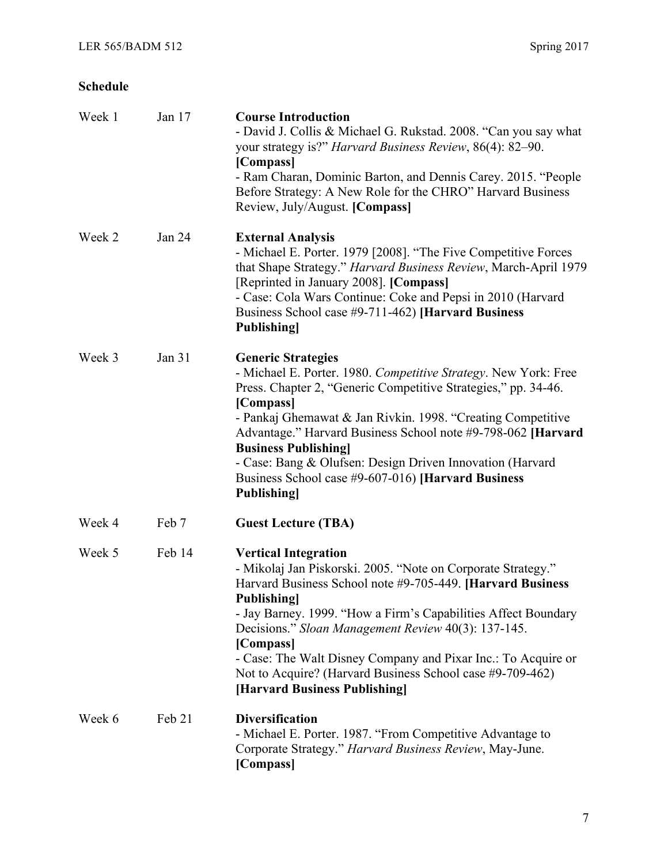#### **Schedule**

| Week 1 | Jan 17 | <b>Course Introduction</b><br>- David J. Collis & Michael G. Rukstad. 2008. "Can you say what<br>your strategy is?" Harvard Business Review, 86(4): 82–90.<br>[Compass]<br>- Ram Charan, Dominic Barton, and Dennis Carey. 2015. "People<br>Before Strategy: A New Role for the CHRO" Harvard Business<br>Review, July/August. [Compass]                                                                                                                                             |
|--------|--------|--------------------------------------------------------------------------------------------------------------------------------------------------------------------------------------------------------------------------------------------------------------------------------------------------------------------------------------------------------------------------------------------------------------------------------------------------------------------------------------|
| Week 2 | Jan 24 | <b>External Analysis</b><br>- Michael E. Porter. 1979 [2008]. "The Five Competitive Forces<br>that Shape Strategy." Harvard Business Review, March-April 1979<br>[Reprinted in January 2008]. [Compass]<br>- Case: Cola Wars Continue: Coke and Pepsi in 2010 (Harvard<br>Business School case #9-711-462) [Harvard Business<br><b>Publishing</b>                                                                                                                                    |
| Week 3 | Jan 31 | <b>Generic Strategies</b><br>- Michael E. Porter. 1980. Competitive Strategy. New York: Free<br>Press. Chapter 2, "Generic Competitive Strategies," pp. 34-46.<br>[Compass]<br>- Pankaj Ghemawat & Jan Rivkin. 1998. "Creating Competitive<br>Advantage." Harvard Business School note #9-798-062 [Harvard]<br><b>Business Publishing</b><br>- Case: Bang & Olufsen: Design Driven Innovation (Harvard<br>Business School case #9-607-016) [Harvard Business<br><b>Publishing</b>    |
| Week 4 | Feb 7  | <b>Guest Lecture (TBA)</b>                                                                                                                                                                                                                                                                                                                                                                                                                                                           |
| Week 5 | Feb 14 | <b>Vertical Integration</b><br>- Mikolaj Jan Piskorski. 2005. "Note on Corporate Strategy."<br>Harvard Business School note #9-705-449. [Harvard Business]<br><b>Publishing</b><br>- Jay Barney. 1999. "How a Firm's Capabilities Affect Boundary<br>Decisions." Sloan Management Review 40(3): 137-145.<br>[Compass]<br>- Case: The Walt Disney Company and Pixar Inc.: To Acquire or<br>Not to Acquire? (Harvard Business School case #9-709-462)<br>[Harvard Business Publishing] |
| Week 6 | Feb 21 | <b>Diversification</b><br>- Michael E. Porter. 1987. "From Competitive Advantage to<br>Corporate Strategy." Harvard Business Review, May-June.<br>[Compass]                                                                                                                                                                                                                                                                                                                          |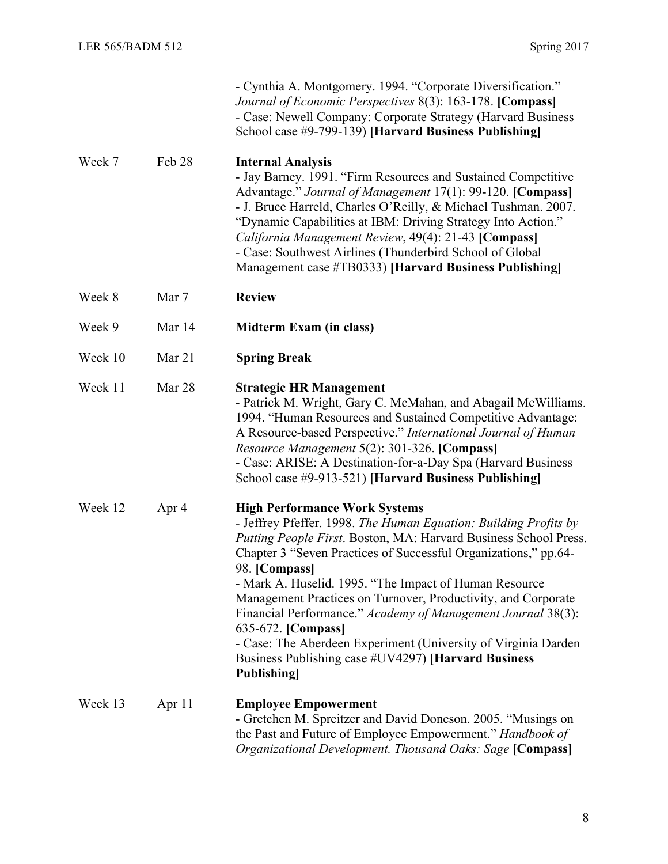|         |        | - Cynthia A. Montgomery. 1994. "Corporate Diversification."<br>Journal of Economic Perspectives 8(3): 163-178. [Compass]<br>- Case: Newell Company: Corporate Strategy (Harvard Business<br>School case #9-799-139) [Harvard Business Publishing]                                                                                                                                                                                                                                                                                                                                                                               |
|---------|--------|---------------------------------------------------------------------------------------------------------------------------------------------------------------------------------------------------------------------------------------------------------------------------------------------------------------------------------------------------------------------------------------------------------------------------------------------------------------------------------------------------------------------------------------------------------------------------------------------------------------------------------|
| Week 7  | Feb 28 | <b>Internal Analysis</b><br>- Jay Barney. 1991. "Firm Resources and Sustained Competitive<br>Advantage." Journal of Management 17(1): 99-120. [Compass]<br>- J. Bruce Harreld, Charles O'Reilly, & Michael Tushman. 2007.<br>"Dynamic Capabilities at IBM: Driving Strategy Into Action."<br>California Management Review, 49(4): 21-43 [Compass]<br>- Case: Southwest Airlines (Thunderbird School of Global<br>Management case #TB0333) [Harvard Business Publishing]                                                                                                                                                         |
| Week 8  | Mar 7  | <b>Review</b>                                                                                                                                                                                                                                                                                                                                                                                                                                                                                                                                                                                                                   |
| Week 9  | Mar 14 | Midterm Exam (in class)                                                                                                                                                                                                                                                                                                                                                                                                                                                                                                                                                                                                         |
| Week 10 | Mar 21 | <b>Spring Break</b>                                                                                                                                                                                                                                                                                                                                                                                                                                                                                                                                                                                                             |
| Week 11 | Mar 28 | <b>Strategic HR Management</b><br>- Patrick M. Wright, Gary C. McMahan, and Abagail McWilliams.<br>1994. "Human Resources and Sustained Competitive Advantage:<br>A Resource-based Perspective." International Journal of Human<br>Resource Management 5(2): 301-326. [Compass]<br>- Case: ARISE: A Destination-for-a-Day Spa (Harvard Business)<br>School case #9-913-521) [Harvard Business Publishing]                                                                                                                                                                                                                       |
| Week 12 | Apr 4  | <b>High Performance Work Systems</b><br>- Jeffrey Pfeffer. 1998. The Human Equation: Building Profits by<br>Putting People First. Boston, MA: Harvard Business School Press.<br>Chapter 3 "Seven Practices of Successful Organizations," pp.64-<br>98. [Compass]<br>- Mark A. Huselid. 1995. "The Impact of Human Resource<br>Management Practices on Turnover, Productivity, and Corporate<br>Financial Performance." Academy of Management Journal 38(3):<br>635-672. [Compass]<br>- Case: The Aberdeen Experiment (University of Virginia Darden<br>Business Publishing case #UV4297) [Harvard Business<br><b>Publishing</b> |
| Week 13 | Apr 11 | <b>Employee Empowerment</b><br>- Gretchen M. Spreitzer and David Doneson. 2005. "Musings on<br>the Past and Future of Employee Empowerment." Handbook of<br>Organizational Development. Thousand Oaks: Sage [Compass]                                                                                                                                                                                                                                                                                                                                                                                                           |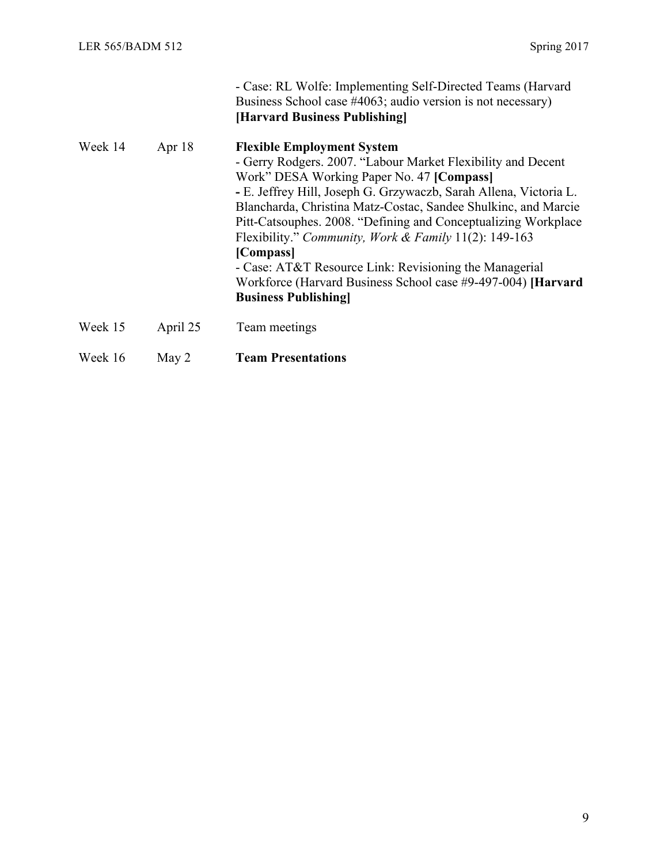|         |          | - Case: RL Wolfe: Implementing Self-Directed Teams (Harvard<br>Business School case #4063; audio version is not necessary)<br>[Harvard Business Publishing]                                                                                                                                                                                                                                                                                                                                                                                                                            |
|---------|----------|----------------------------------------------------------------------------------------------------------------------------------------------------------------------------------------------------------------------------------------------------------------------------------------------------------------------------------------------------------------------------------------------------------------------------------------------------------------------------------------------------------------------------------------------------------------------------------------|
| Week 14 | Apr $18$ | <b>Flexible Employment System</b><br>- Gerry Rodgers. 2007. "Labour Market Flexibility and Decent<br>Work" DESA Working Paper No. 47 [Compass]<br>- E. Jeffrey Hill, Joseph G. Grzywaczb, Sarah Allena, Victoria L.<br>Blancharda, Christina Matz-Costac, Sandee Shulkinc, and Marcie<br>Pitt-Catsouphes. 2008. "Defining and Conceptualizing Workplace<br>Flexibility." Community, Work & Family 11(2): 149-163<br>[Compass]<br>- Case: AT&T Resource Link: Revisioning the Managerial<br>Workforce (Harvard Business School case #9-497-004) [Harvard]<br><b>Business Publishing</b> |
| Week 15 | April 25 | Team meetings                                                                                                                                                                                                                                                                                                                                                                                                                                                                                                                                                                          |
| Week 16 | May 2    | <b>Team Presentations</b>                                                                                                                                                                                                                                                                                                                                                                                                                                                                                                                                                              |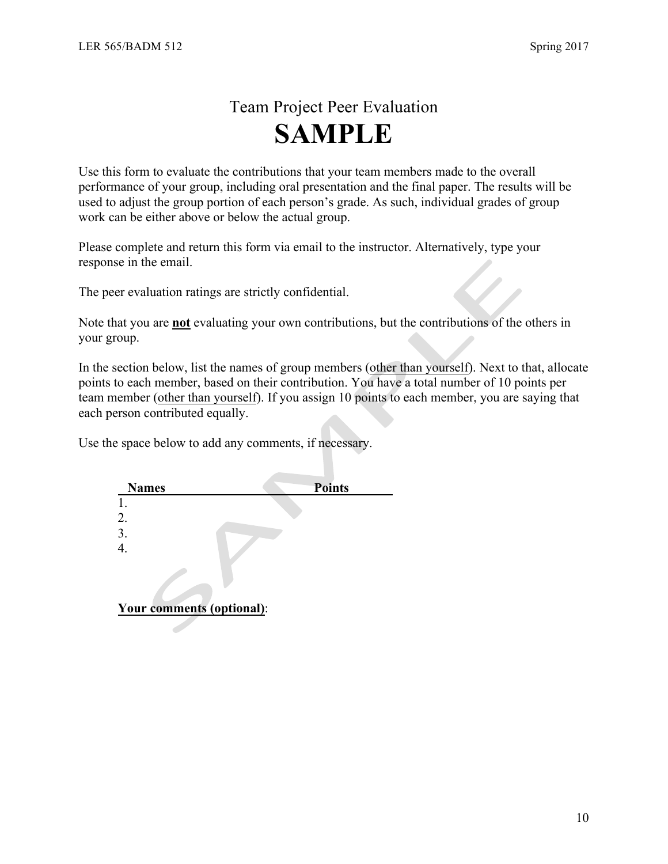### Team Project Peer Evaluation **SAMPLE**

Use this form to evaluate the contributions that your team members made to the overall performance of your group, including oral presentation and the final paper. The results will be used to adjust the group portion of each person's grade. As such, individual grades of group work can be either above or below the actual group.

Please complete and return this form via email to the instructor. Alternatively, type your response in the email.

The peer evaluation ratings are strictly confidential.

Note that you are **not** evaluating your own contributions, but the contributions of the others in your group.

In the section below, list the names of group members (other than yourself). Next to that, allocate points to each member, based on their contribution. You have a total number of 10 points per team member (other than yourself). If you assign 10 points to each member, you are saying that each person contributed equally.

Use the space below to add any comments, if necessary.

| <b>Names</b>                     | <b>Points</b> |
|----------------------------------|---------------|
|                                  |               |
| 2.                               |               |
| 3.                               |               |
|                                  |               |
|                                  |               |
| <b>Your comments (optional):</b> |               |
|                                  |               |